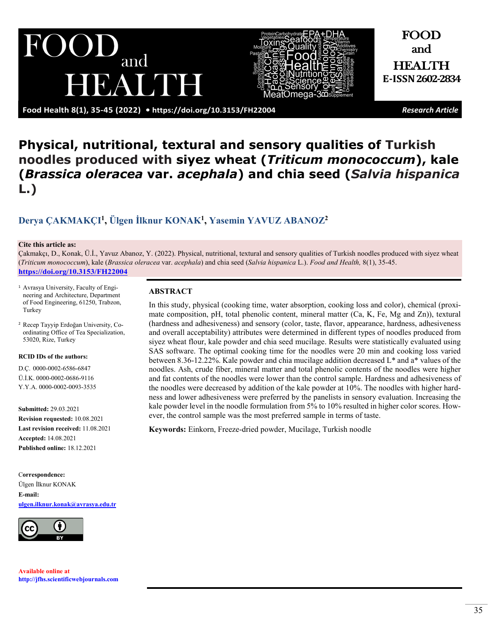**Food Health 8(1), 35-45 (2022) •<https://doi.org/10.3153/FH22004>** *Research Article*

# **Physical, nutritional, textural and sensory qualities of Turkish noodles produced with siyez wheat (***Triticum monococcum***), kale (***Brassica oleracea* **var.** *acephala***) and chia seed (***Salvia hispanica*  **L.)**

## **[Derya ÇAKMAKÇI1](https://orcid.org/0000-0002-6586-6847), [Ülgen İlknur KONAK](https://orcid.org/0000-0002-0686-9116)1, [Yasemin YAVUZ ABANOZ](https://orcid.org/0000-0002-0093-3535)<sup>2</sup>**

#### **Cite this article as:**

Çakmakçı, D., Konak, Ü.İ., Yavuz Abanoz, Y. (2022). Physical, nutritional, textural and sensory qualities of Turkish noodles produced with siyez wheat (*Triticum monococcum*), kale (*Brassica oleracea* var. *acephala*) and chia seed (*Salvia hispanica* L.). *Food and Health,* 8(1), 35-45. **<https://doi.org/10.3153/FH22004>**

- 1 Avrasya University, Faculty of Engineering and Architecture, Department of Food Engineering, 61250, Trabzon, Turkey
- 2 Recep Tayyip Erdoğan University, Coordinating Office of Tea Specialization, 53020, Rize, Turkey

#### **RCID IDs of the authors:**

D.Ç. 0000-0002-6586-6847 Ü.İ.K. 0000-0002-0686-9116 Y.Y.A. 0000-0002-0093-3535

**Submitted:** 29.03.2021 **Revision requested:** 10.08.2021 **Last revision received:** 11.08.2021 **Accepted:** 14.08.2021 **Published online:** 18.12.2021

C**orrespondence:** Ülgen İlknur KONAK **E-mail: [ulgen.ilknur.konak@avrasya.edu.tr](mailto:ulgen.ilknur.konak@avrasya.edu.tr)**



**Available online at [http://jfhs.scientificwebjournals.com](http://jfhs.scientificwebjournals.com/)**

#### **ABSTRACT**

In this study, physical (cooking time, water absorption, cooking loss and color), chemical (proximate composition, pH, total phenolic content, mineral matter (Ca, K, Fe, Mg and Zn)), textural (hardness and adhesiveness) and sensory (color, taste, flavor, appearance, hardness, adhesiveness and overall acceptability) attributes were determined in different types of noodles produced from siyez wheat flour, kale powder and chia seed mucilage. Results were statistically evaluated using SAS software. The optimal cooking time for the noodles were 20 min and cooking loss varied between 8.36-12.22%. Kale powder and chia mucilage addition decreased L\* and a\* values of the noodles. Ash, crude fiber, mineral matter and total phenolic contents of the noodles were higher and fat contents of the noodles were lower than the control sample. Hardness and adhesiveness of the noodles were decreased by addition of the kale powder at 10%. The noodles with higher hardness and lower adhesiveness were preferred by the panelists in sensory evaluation. Increasing the kale powder level in the noodle formulation from 5% to 10% resulted in higher color scores. However, the control sample was the most preferred sample in terms of taste.

**Keywords:** Einkorn, Freeze-dried powder, Mucilage, Turkish noodle





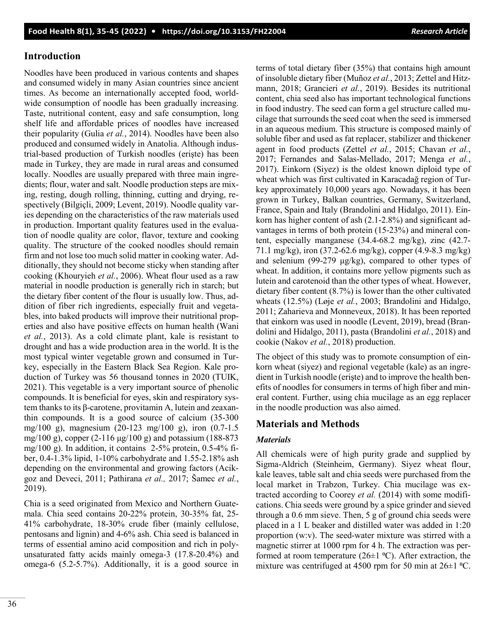#### **Introduction**

Noodles have been produced in various contents and shapes and consumed widely in many Asian countries since ancient times. As become an internationally accepted food, worldwide consumption of noodle has been gradually increasing. Taste, nutritional content, easy and safe consumption, long shelf life and affordable prices of noodles have increased their popularity (Gulia *et al.*, 2014). Noodles have been also produced and consumed widely in Anatolia. Although industrial-based production of Turkish noodles (erişte) has been made in Turkey, they are made in rural areas and consumed locally. Noodles are usually prepared with three main ingredients; flour, water and salt. Noodle production steps are mixing, resting, dough rolling, thinning, cutting and drying, respectively (Bilgiçli, 2009; Levent, 2019). Noodle quality varies depending on the characteristics of the raw materials used in production. Important quality features used in the evaluation of noodle quality are color, flavor, texture and cooking quality. The structure of the cooked noodles should remain firm and not lose too much solid matter in cooking water. Additionally, they should not become sticky when standing after cooking (Khouryieh *et al.*, 2006). Wheat flour used as a raw material in noodle production is generally rich in starch; but the dietary fiber content of the flour is usually low. Thus, addition of fiber rich ingredients, especially fruit and vegetables, into baked products will improve their nutritional properties and also have positive effects on human health (Wani *et al.*, 2013). As a cold climate plant, kale is resistant to drought and has a wide production area in the world. It is the most typical winter vegetable grown and consumed in Turkey, especially in the Eastern Black Sea Region. Kale production of Turkey was 56 thousand tonnes in 2020 (TUIK, 2021). This vegetable is a very important source of phenolic compounds. It is beneficial for eyes, skin and respiratory system thanks to its β-carotene, provitamin A, lutein and zeaxanthin compounds. It is a good source of calcium (35-300 mg/100 g), magnesium (20-123 mg/100 g), iron (0.7-1.5 mg/100 g), copper (2-116 μg/100 g) and potassium (188-873 mg/100 g). In addition, it contains  $2-5\%$  protein, 0.5-4% fiber, 0.4-1.3% lipid, 1-10% carbohydrate and 1.55-2.18% ash depending on the environmental and growing factors (Acikgoz and Deveci, 2011; Pathirana *et al.,* 2017; Šamec *et al.*, 2019).

Chia is a seed originated from Mexico and Northern Guatemala. Chia seed contains 20-22% protein, 30-35% fat, 25- 41% carbohydrate, 18-30% crude fiber (mainly cellulose, pentosans and lignin) and 4-6% ash. Chia seed is balanced in terms of essential amino acid composition and rich in polyunsaturated fatty acids mainly omega-3 (17.8-20.4%) and omega-6 (5.2-5.7%). Additionally, it is a good source in

terms of total dietary fiber (35%) that contains high amount of insoluble dietary fiber (Muñoz *et al.*, 2013; Zettel and Hitzmann, 2018; Grancieri *et al.*, 2019). Besides its nutritional content, chia seed also has important technological functions in food industry. The seed can form a gel structure called mucilage that surrounds the seed coat when the seed is immersed in an aqueous medium. This structure is composed mainly of soluble fiber and used as fat replacer, stabilizer and thickener agent in food products (Zettel *et al.*, 2015; Chavan *et al.*, 2017; Fernandes and Salas-Mellado, 2017; Menga *et al.*, 2017). Einkorn (Siyez) is the oldest known diploid type of wheat which was first cultivated in Karacadağ region of Turkey approximately 10,000 years ago. Nowadays, it has been grown in Turkey, Balkan countries, Germany, Switzerland, France, Spain and Italy (Brandolini and Hidalgo, 2011). Einkorn has higher content of ash (2.1-2.8%) and significant advantages in terms of both protein (15-23%) and mineral content, especially manganese (34.4-68.2 mg/kg), zinc (42.7- 71.1 mg/kg), iron (37.2-62.6 mg/kg), copper (4.9-8.3 mg/kg) and selenium (99-279 μg/kg), compared to other types of wheat. In addition, it contains more yellow pigments such as lutein and carotenoid than the other types of wheat. However, dietary fiber content (8.7%) is lower than the other cultivated wheats (12.5%) (Løje *et al.*, 2003; Brandolini and Hidalgo, 2011; Zaharieva and Monneveux, 2018). It has been reported that einkorn was used in noodle (Levent, 2019), bread (Brandolini and Hidalgo, 2011), pasta (Brandolini *et al.*, 2018) and cookie (Nakov *et al.*, 2018) production.

The object of this study was to promote consumption of einkorn wheat (siyez) and regional vegetable (kale) as an ingredient in Turkish noodle (erişte) and to improve the health benefits of noodles for consumers in terms of high fiber and mineral content. Further, using chia mucilage as an egg replacer in the noodle production was also aimed.

#### **Materials and Methods**

#### *Materials*

All chemicals were of high purity grade and supplied by Sigma-Aldrich (Steinheim, Germany). Siyez wheat flour, kale leaves, table salt and chia seeds were purchased from the local market in Trabzon, Turkey. Chia mucilage was extracted according to Coorey *et al.* (2014) with some modifications. Chia seeds were ground by a spice grinder and sieved through a 0.6 mm sieve. Then, 5 g of ground chia seeds were placed in a 1 L beaker and distilled water was added in 1:20 proportion (w:v). The seed-water mixture was stirred with a magnetic stirrer at 1000 rpm for 4 h. The extraction was performed at room temperature (26 $\pm$ 1 °C). After extraction, the mixture was centrifuged at 4500 rpm for 50 min at  $26\pm1$  °C.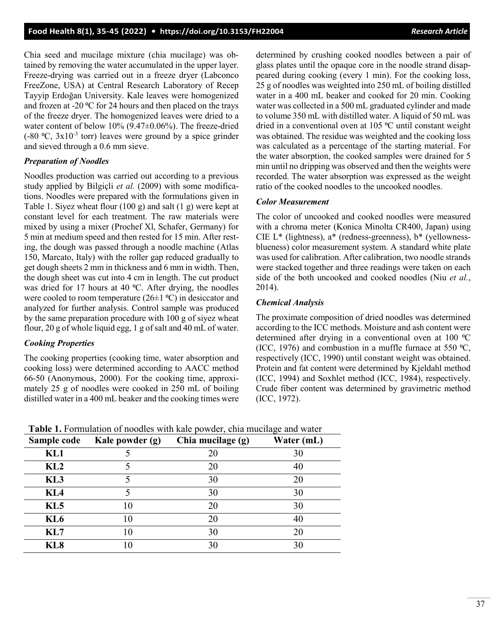Chia seed and mucilage mixture (chia mucilage) was obtained by removing the water accumulated in the upper layer. Freeze-drying was carried out in a freeze dryer (Labconco FreeZone, USA) at Central Research Laboratory of Recep Tayyip Erdoğan University. Kale leaves were homogenized and frozen at -20 °C for 24 hours and then placed on the trays of the freeze dryer. The homogenized leaves were dried to a water content of below 10% (9.47±0.06%). The freeze-dried  $(-80 \degree C, 3x10^{-3}$  torr) leaves were ground by a spice grinder and sieved through a 0.6 mm sieve.

#### *Preparation of Noodles*

Noodles production was carried out according to a previous study applied by Bilgiçli *et al.* (2009) with some modifications. Noodles were prepared with the formulations given in Table 1. Siyez wheat flour (100 g) and salt (1 g) were kept at constant level for each treatment. The raw materials were mixed by using a mixer (Prochef Xl, Schafer, Germany) for 5 min at medium speed and then rested for 15 min. After resting, the dough was passed through a noodle machine (Atlas 150, Marcato, Italy) with the roller gap reduced gradually to get dough sheets 2 mm in thickness and 6 mm in width. Then, the dough sheet was cut into 4 cm in length. The cut product was dried for 17 hours at 40  $^{\circ}$ C. After drying, the noodles were cooled to room temperature ( $26\pm1$  °C) in desiccator and analyzed for further analysis. Control sample was produced by the same preparation procedure with 100 g of siyez wheat flour, 20 g of whole liquid egg, 1 g of salt and 40 mL of water.

#### *Cooking Properties*

The cooking properties (cooking time, water absorption and cooking loss) were determined according to AACC method 66-50 (Anonymous, 2000). For the cooking time, approximately 25 g of noodles were cooked in 250 mL of boiling distilled water in a 400 mL beaker and the cooking times were determined by crushing cooked noodles between a pair of glass plates until the opaque core in the noodle strand disappeared during cooking (every 1 min). For the cooking loss, 25 g of noodles was weighted into 250 mL of boiling distilled water in a 400 mL beaker and cooked for 20 min. Cooking water was collected in a 500 mL graduated cylinder and made to volume 350 mL with distilled water. A liquid of 50 mL was dried in a conventional oven at 105 °C until constant weight was obtained. The residue was weighted and the cooking loss was calculated as a percentage of the starting material. For the water absorption, the cooked samples were drained for 5 min until no dripping was observed and then the weights were recorded. The water absorption was expressed as the weight ratio of the cooked noodles to the uncooked noodles.

#### *Color Measurement*

The color of uncooked and cooked noodles were measured with a chroma meter (Konica Minolta CR400, Japan) using CIE L\* (lightness), a\* (redness-greenness), b\* (yellownessblueness) color measurement system. A standard white plate was used for calibration. After calibration, two noodle strands were stacked together and three readings were taken on each side of the both uncooked and cooked noodles (Niu *et al.*, 2014).

#### *Chemical Analysis*

The proximate composition of dried noodles was determined according to the ICC methods. Moisture and ash content were determined after drying in a conventional oven at 100 °C (ICC, 1976) and combustion in a muffle furnace at 550  $°C$ , respectively (ICC, 1990) until constant weight was obtained. Protein and fat content were determined by Kjeldahl method (ICC, 1994) and Soxhlet method (ICC, 1984), respectively. Crude fiber content was determined by gravimetric method (ICC, 1972).

|                           | Sample code Kale powder (g) | Chia mucilage (g) | Water (mL) |
|---------------------------|-----------------------------|-------------------|------------|
| KL1                       |                             |                   |            |
| $\mathbf{K}$ $\mathbf{L}$ |                             |                   | 4U         |
|                           |                             |                   |            |

**Table 1.** Formulation of noodles with kale powder, chia mucilage and water

| KLZ.            | ΖU | 4U |
|-----------------|----|----|
| KL3             | 30 | 20 |
| KL <sub>4</sub> | 30 | 30 |
| KL5             | 20 | 30 |
| KL <sub>6</sub> | 20 |    |
| KL7             | 30 | 20 |
| KL <sub>8</sub> |    |    |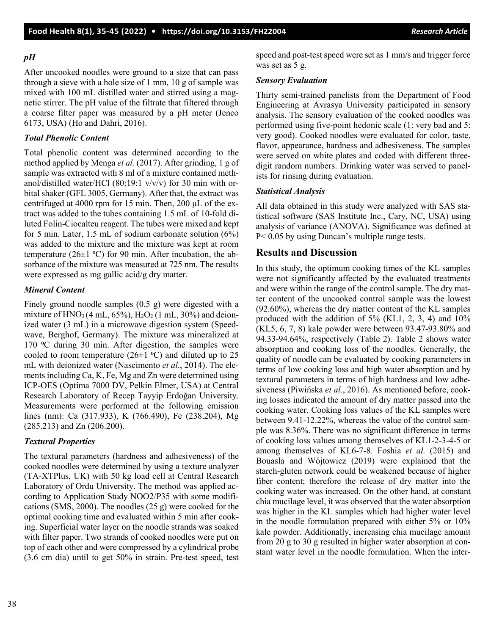#### *pH*

After uncooked noodles were ground to a size that can pass through a sieve with a hole size of 1 mm, 10 g of sample was mixed with 100 mL distilled water and stirred using a magnetic stirrer. The pH value of the filtrate that filtered through a coarse filter paper was measured by a pH meter (Jenco 6173, USA) (Ho and Dahri, 2016).

#### *Total Phenolic Content*

Total phenolic content was determined according to the method applied by Menga *et al.* (2017). After grinding, 1 g of sample was extracted with 8 ml of a mixture contained methanol/distilled water/HCl (80:19:1 v/v/v) for 30 min with orbital shaker (GFL 3005, Germany). After that, the extract was centrifuged at 4000 rpm for 15 min. Then, 200 μL of the extract was added to the tubes containing 1.5 mL of 10-fold diluted Folin-Ciocalteu reagent. The tubes were mixed and kept for 5 min. Later, 1.5 mL of sodium carbonate solution (6%) was added to the mixture and the mixture was kept at room temperature (26 $\pm$ 1 °C) for 90 min. After incubation, the absorbance of the mixture was measured at 725 nm. The results were expressed as mg gallic acid/g dry matter.

#### *Mineral Content*

Finely ground noodle samples (0.5 g) were digested with a mixture of  $HNO<sub>3</sub>(4 mL, 65%)$ ,  $H<sub>2</sub>O<sub>2</sub>(1 mL, 30%)$  and deionized water (3 mL) in a microwave digestion system (Speedwave, Berghof, Germany). The mixture was mineralized at 170  $\degree$ C during 30 min. After digestion, the samples were cooled to room temperature (26 $\pm$ 1 °C) and diluted up to 25 mL with deionized water (Nascimento *et al.*, 2014). The elements including Ca, K, Fe, Mg and Zn were determined using ICP-OES (Optima 7000 DV, Pelkin Elmer, USA) at Central Research Laboratory of Recep Tayyip Erdoğan University. Measurements were performed at the following emission lines (nm): Ca (317.933), K (766.490), Fe (238.204), Mg (285.213) and Zn (206.200).

#### *Textural Properties*

The textural parameters (hardness and adhesiveness) of the cooked noodles were determined by using a texture analyzer (TA-XTPlus, UK) with 50 kg load cell at Central Research Laboratory of Ordu University. The method was applied according to Application Study NOO2/P35 with some modifications (SMS, 2000). The noodles (25 g) were cooked for the optimal cooking time and evaluated within 5 min after cooking. Superficial water layer on the noodle strands was soaked with filter paper. Two strands of cooked noodles were put on top of each other and were compressed by a cylindrical probe (3.6 cm dia) until to get 50% in strain. Pre-test speed, test speed and post-test speed were set as 1 mm/s and trigger force was set as 5 g.

#### *Sensory Evaluation*

Thirty semi-trained panelists from the Department of Food Engineering at Avrasya University participated in sensory analysis. The sensory evaluation of the cooked noodles was performed using five-point hedonic scale (1: very bad and 5: very good). Cooked noodles were evaluated for color, taste, flavor, appearance, hardness and adhesiveness. The samples were served on white plates and coded with different threedigit random numbers. Drinking water was served to panelists for rinsing during evaluation.

#### *Statistical Analysis*

All data obtained in this study were analyzed with SAS statistical software (SAS Institute Inc., Cary, NC, USA) using analysis of variance (ANOVA). Significance was defined at P< 0.05 by using Duncan's multiple range tests.

## **Results and Discussion**

In this study, the optimum cooking times of the KL samples were not significantly affected by the evaluated treatments and were within the range of the control sample. The dry matter content of the uncooked control sample was the lowest (92.60%), whereas the dry matter content of the KL samples produced with the addition of 5% (KL1, 2, 3, 4) and 10% (KL5, 6, 7, 8) kale powder were between 93.47-93.80% and 94.33-94.64%, respectively (Table 2). Table 2 shows water absorption and cooking loss of the noodles. Generally, the quality of noodle can be evaluated by cooking parameters in terms of low cooking loss and high water absorption and by textural parameters in terms of high hardness and low adhesiveness (Piwińska *et al.*, 2016). As mentioned before, cooking losses indicated the amount of dry matter passed into the cooking water. Cooking loss values of the KL samples were between 9.41-12.22%, whereas the value of the control sample was 8.36%. There was no significant difference in terms of cooking loss values among themselves of KL1-2-3-4-5 or among themselves of KL6-7-8. Foshia *et al.* (2015) and Bouasla and Wójtowicz (2019) were explained that the starch-gluten network could be weakened because of higher fiber content; therefore the release of dry matter into the cooking water was increased. On the other hand, at constant chia mucilage level, it was observed that the water absorption was higher in the KL samples which had higher water level in the noodle formulation prepared with either 5% or 10% kale powder. Additionally, increasing chia mucilage amount from 20 g to 30 g resulted in higher water absorption at constant water level in the noodle formulation. When the inter-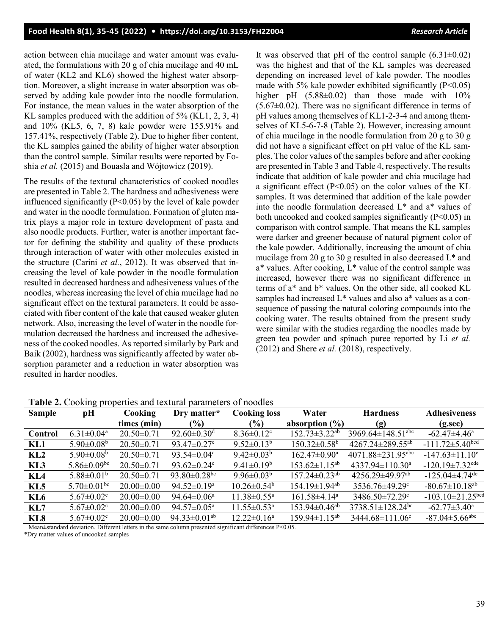action between chia mucilage and water amount was evaluated, the formulations with 20 g of chia mucilage and 40 mL of water (KL2 and KL6) showed the highest water absorption. Moreover, a slight increase in water absorption was observed by adding kale powder into the noodle formulation. For instance, the mean values in the water absorption of the KL samples produced with the addition of 5% (KL1, 2, 3, 4) and 10% (KL5, 6, 7, 8) kale powder were 155.91% and 157.41%, respectively (Table 2). Due to higher fiber content, the KL samples gained the ability of higher water absorption than the control sample. Similar results were reported by Foshia *et al.* (2015) and Bouasla and Wójtowicz (2019).

The results of the textural characteristics of cooked noodles are presented in Table 2. The hardness and adhesiveness were influenced significantly ( $P<0.05$ ) by the level of kale powder and water in the noodle formulation. Formation of gluten matrix plays a major role in texture development of pasta and also noodle products. Further, water is another important factor for defining the stability and quality of these products through interaction of water with other molecules existed in the structure (Carini *et al.*, 2012). It was observed that increasing the level of kale powder in the noodle formulation resulted in decreased hardness and adhesiveness values of the noodles, whereas increasing the level of chia mucilage had no significant effect on the textural parameters. It could be associated with fiber content of the kale that caused weaker gluten network. Also, increasing the level of water in the noodle formulation decreased the hardness and increased the adhesiveness of the cooked noodles. As reported similarly by Park and Baik (2002), hardness was significantly affected by water absorption parameter and a reduction in water absorption was resulted in harder noodles.

It was observed that pH of the control sample  $(6.31\pm0.02)$ was the highest and that of the KL samples was decreased depending on increased level of kale powder. The noodles made with 5% kale powder exhibited significantly  $(P<0.05)$ higher pH  $(5.88\pm0.02)$  than those made with 10%  $(5.67\pm0.02)$ . There was no significant difference in terms of pH values among themselves of KL1-2-3-4 and among themselves of KL5-6-7-8 (Table 2). However, increasing amount of chia mucilage in the noodle formulation from 20 g to 30 g did not have a significant effect on pH value of the KL samples. The color values of the samples before and after cooking are presented in Table 3 and Table 4, respectively. The results indicate that addition of kale powder and chia mucilage had a significant effect ( $P<0.05$ ) on the color values of the KL samples. It was determined that addition of the kale powder into the noodle formulation decreased L\* and a\* values of both uncooked and cooked samples significantly  $(P<0.05)$  in comparison with control sample. That means the KL samples were darker and greener because of natural pigment color of the kale powder. Additionally, increasing the amount of chia mucilage from 20 g to 30 g resulted in also decreased L\* and a\* values. After cooking, L\* value of the control sample was increased, however there was no significant difference in terms of a\* and b\* values. On the other side, all cooked KL samples had increased L\* values and also a\* values as a consequence of passing the natural coloring compounds into the cooking water. The results obtained from the present study were similar with the studies regarding the noodles made by green tea powder and spinach puree reported by Li *et al.* (2012) and Shere *et al.* (2018), respectively.

|               |                               |                  | <b>rapit 2.</b> Cooking properties and textural parameters of hoodies |                               |                                 |                                     |                                    |
|---------------|-------------------------------|------------------|-----------------------------------------------------------------------|-------------------------------|---------------------------------|-------------------------------------|------------------------------------|
| <b>Sample</b> | pН                            | Cooking          | Dry matter*                                                           | <b>Cooking loss</b>           | Water                           | <b>Hardness</b>                     | <b>Adhesiveness</b>                |
|               |                               | times (min)      | $(\%)$                                                                | $(\%)$                        | absorption $(\% )$              | (g)                                 | $(g.\sec)$                         |
| Control       | $6.31 \pm 0.04$ <sup>a</sup>  | $20.50 \pm 0.71$ | 92.60 $\pm$ 0.30 <sup>d</sup>                                         | $8.36 \pm 0.12$ <sup>c</sup>  | $152.73 \pm 3.22$ <sup>ab</sup> | 3969.64 $\pm$ 148.51 <sup>abc</sup> | $-62.47 \pm 4.46^{\mathrm{a}}$     |
| KL1           | $5.90 \pm 0.08$ <sup>b</sup>  | $20.50 \pm 0.71$ | 93.47 $\pm$ 0.27 $\rm{^{\circ}}$                                      | $9.52 \pm 0.13^b$             | $150.32 \pm 0.58$ <sup>b</sup>  | $4267.24 \pm 289.55$ <sup>ab</sup>  | $-111.72 \pm 5.40$ bcd             |
| KL2           | $5.90 \pm 0.08$ <sup>b</sup>  | $20.50 \pm 0.71$ | 93.54 $\pm$ 0.04 $\rm{c}$                                             | 9.42 $\pm$ 0.03 <sup>b</sup>  | $162.47 \pm 0.90^{\mathrm{a}}$  | $4071.88 \pm 231.95$ <sup>abc</sup> | $-147.63 \pm 11.10$ <sup>e</sup>   |
| KL3           | $5.86 \pm 0.09$ <sup>bc</sup> | $20.50 \pm 0.71$ | 93.62 $\pm$ 0.24 $\rm{^{\circ}}$                                      | $9.41 \pm 0.19^b$             | $153.62 \pm 1.15^{ab}$          | $4337.94 \pm 110.30^{\circ}$        | $-120.19 \pm 7.32$ <sup>cde</sup>  |
| KL4           | $5.88 \pm 0.01^b$             | $20.50 \pm 0.71$ | 93.80 $\pm$ 0.28 <sup>bc</sup>                                        | 9.96 $\pm$ 0.03 <sup>b</sup>  | $157.24 \pm 0.23$ <sup>ab</sup> | $4256.29 \pm 49.97$ <sup>ab</sup>   | $-125.04\pm4.74$ <sup>de</sup>     |
| KL5           | $5.70 \pm 0.01$ <sup>bc</sup> | $20.00 \pm 0.00$ | 94.52 $\pm$ 0.19 <sup>a</sup>                                         | $10.26 \pm 0.54^{\circ}$      | $154.19 \pm 1.94$ <sup>ab</sup> | 3536.76±49.29°                      | $-80.67 \pm 10.18$ <sup>ab</sup>   |
| KL6           | $5.67 \pm 0.02$ <sup>c</sup>  | $20.00 \pm 0.00$ | $94.64 \pm 0.06^{\mathrm{a}}$                                         | $11.38 \pm 0.55^{\text{a}}$   | $161.58\pm4.14^{\mathrm{a}}$    | 3486.50±72.29°                      | $-103.10 \pm 21.25$ <sup>bcd</sup> |
| KL7           | $5.67 \pm 0.02$ <sup>c</sup>  | $20.00 \pm 0.00$ | $94.57 \pm 0.05^{\text{a}}$                                           | $11.55 \pm 0.53$ <sup>a</sup> | $153.94 \pm 0.46$ <sup>ab</sup> | $3738.51 \pm 128.24$ <sup>bc</sup>  | $-62.77 \pm 3.40^{\mathrm{a}}$     |
| KL8           | $5.67 \pm 0.02$ <sup>c</sup>  | $20.00 \pm 0.00$ | 94.33 $\pm$ 0.01 <sup>ab</sup>                                        | $12.22 \pm 0.16^a$            | $159.94 \pm 1.15^{ab}$          | 3444.68±111.06°                     | $-87.04 \pm 5.66$ <sup>abc</sup>   |
|               |                               |                  |                                                                       |                               |                                 |                                     |                                    |

**Table 2.** Cooking properties and textural parameters of noodles

Mean±standard deviation. Different letters in the same column presented significant differences P<0.05.

\*Dry matter values of uncooked samples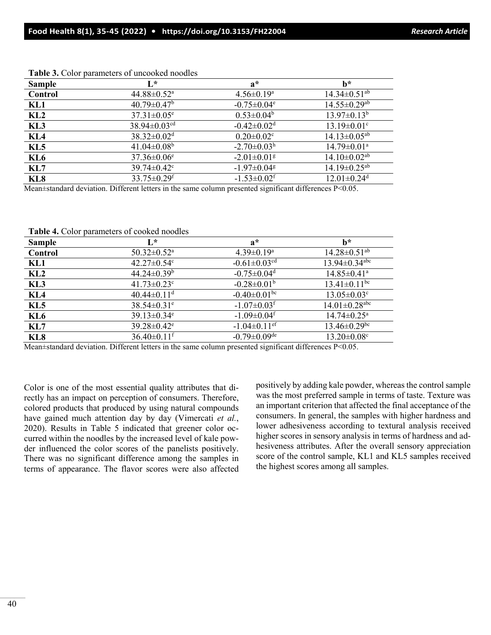| <b>Sample</b>   | $\mathbf{L}^*$                 | $a^*$                         | $h^*$                          |
|-----------------|--------------------------------|-------------------------------|--------------------------------|
| Control         | $44.88 \pm 0.52$ <sup>a</sup>  | $4.56 \pm 0.19^{\circ}$       | $14.34 \pm 0.51$ <sup>ab</sup> |
| KL1             | $40.79 \pm 0.47$ <sup>b</sup>  | $-0.75 \pm 0.04$ <sup>e</sup> | $14.55 \pm 0.29$ <sup>ab</sup> |
| KL2             | $37.31 \pm 0.05^e$             | $0.53 \pm 0.04^b$             | $13.97 \pm 0.13^b$             |
| KL3             | 38.94 $\pm$ 0.03 <sup>cd</sup> | $-0.42 \pm 0.02$ <sup>d</sup> | $13.19 \pm 0.01$ <sup>c</sup>  |
| KL <sub>4</sub> | $38.32 \pm 0.02$ <sup>d</sup>  | $0.20 \pm 0.02$ <sup>c</sup>  | $14.13 \pm 0.05$ <sup>ab</sup> |
| KL <sub>5</sub> | 41.04 $\pm$ 0.08 <sup>b</sup>  | $-2.70 \pm 0.03^{\rm h}$      | $14.79 \pm 0.01$ <sup>a</sup>  |
| KL <sub>6</sub> | $37.36 \pm 0.06$ <sup>e</sup>  | $-2.01 \pm 0.01$ <sup>g</sup> | $14.10 \pm 0.02$ <sup>ab</sup> |
| KL7             | $39.74 \pm 0.42$ °             | $-1.97 \pm 0.04$ <sup>g</sup> | $14.19 \pm 0.25$ <sup>ab</sup> |
| KL <sub>8</sub> | $33.75 \pm 0.29$ <sup>f</sup>  | $-1.53 \pm 0.02$ <sup>f</sup> | $12.01 \pm 0.24$ <sup>d</sup>  |

**Table 3.** Color parameters of uncooked noodles

Mean±standard deviation. Different letters in the same column presented significant differences P<0.05.

**Table 4.** Color parameters of cooked noodles

| <b>Sample</b>   | $\mathbf{L}^*$                   | $a^*$                          | $h^*$                           |
|-----------------|----------------------------------|--------------------------------|---------------------------------|
| Control         | $50.32 \pm 0.52^{\text{a}}$      | $4.39 \pm 0.19^{\mathrm{a}}$   | $14.28 \pm 0.51$ <sup>ab</sup>  |
| KL1             | 42.27 $\pm$ 0.54 $\rm{^{\circ}}$ | $-0.61 \pm 0.03$ <sup>cd</sup> | $13.94 \pm 0.34$ <sup>abc</sup> |
| KL2             | $44.24 \pm 0.39^b$               | $-0.75 \pm 0.04$ <sup>d</sup>  | $14.85 \pm 0.41$ <sup>a</sup>   |
| KL3             | $41.73 \pm 0.23$ °               | $-0.28 \pm 0.01$ <sup>b</sup>  | $13.41 \pm 0.11$ <sup>bc</sup>  |
| KL <sub>4</sub> | $40.44 \pm 0.11$ <sup>d</sup>    | $-0.40 \pm 0.01$ bc            | $13.05 \pm 0.03$ <sup>c</sup>   |
| KL <sub>5</sub> | $38.54 \pm 0.31$ <sup>e</sup>    | $-1.07 \pm 0.03$ <sup>f</sup>  | $14.01 \pm 0.28$ <sup>abc</sup> |
| KL <sub>6</sub> | 39.13 $\pm$ 0.34 $\text{e}$      | $-1.09 \pm 0.04$ <sup>f</sup>  | $14.74 \pm 0.25$ <sup>a</sup>   |
| KL7             | $39.28 \pm 0.42$ <sup>e</sup>    | $-1.04 \pm 0.11$ <sup>ef</sup> | $13.46 \pm 0.29$ bc             |
| KL8             | $36.40 \pm 0.11$ <sup>f</sup>    | $-0.79 \pm 0.09$ <sup>de</sup> | $13.20 \pm 0.08$ <sup>c</sup>   |
|                 |                                  |                                |                                 |

Mean±standard deviation. Different letters in the same column presented significant differences P<0.05.

Color is one of the most essential quality attributes that directly has an impact on perception of consumers. Therefore, colored products that produced by using natural compounds have gained much attention day by day (Vimercati *et al.*, 2020). Results in Table 5 indicated that greener color occurred within the noodles by the increased level of kale powder influenced the color scores of the panelists positively. There was no significant difference among the samples in terms of appearance. The flavor scores were also affected positively by adding kale powder, whereas the control sample was the most preferred sample in terms of taste. Texture was an important criterion that affected the final acceptance of the consumers. In general, the samples with higher hardness and lower adhesiveness according to textural analysis received higher scores in sensory analysis in terms of hardness and adhesiveness attributes. After the overall sensory appreciation score of the control sample, KL1 and KL5 samples received the highest scores among all samples.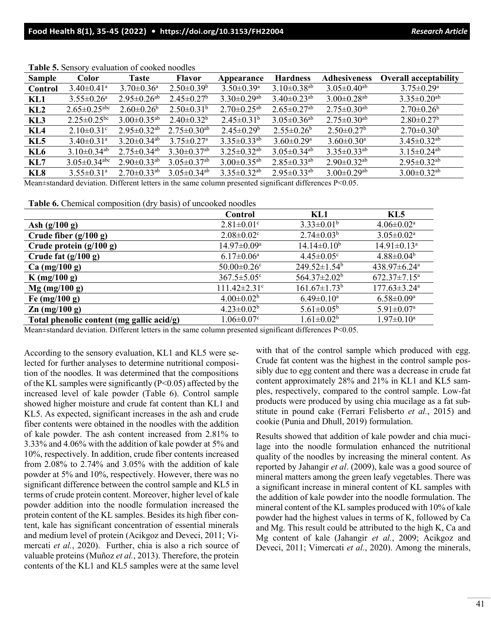| <b>Sample</b>   | <b>Color</b>                   | <b>Taste</b>                  | <b>Flavor</b>                 | Appearance                    | <b>Hardness</b>               | Adhesiveness                  | <b>Overall acceptability</b>  |
|-----------------|--------------------------------|-------------------------------|-------------------------------|-------------------------------|-------------------------------|-------------------------------|-------------------------------|
| Control         | $3.40 \pm 0.41$ <sup>a</sup>   | $3.70 \pm 0.36$ <sup>a</sup>  | $2.50 \pm 0.39^b$             | $3.50 \pm 0.39$ <sup>a</sup>  | $3.10\pm0.38^{ab}$            | $3.05 \pm 0.40$ <sup>ab</sup> | $3.75 \pm 0.29^{\mathrm{a}}$  |
| KL1             | $3.55 \pm 0.26$ <sup>a</sup>   | $2.95 \pm 0.26$ <sup>ab</sup> | $2.45 \pm 0.27$ <sup>b</sup>  | $3.30\pm0.29$ <sup>ab</sup>   | $3.40 \pm 0.23$ <sup>ab</sup> | $3.00 \pm 0.28$ <sup>ab</sup> | $3.35 \pm 0.20$ <sup>ab</sup> |
| KL2             | $2.65 \pm 0.25$ <sup>abc</sup> | $2.60 \pm 0.26^b$             | $2.50 \pm 0.31^b$             | $2.70 \pm 0.25$ <sup>ab</sup> | $2.65 \pm 0.27$ <sup>ab</sup> | $2.75 \pm 0.30$ <sup>ab</sup> | $2.70 \pm 0.26^b$             |
| KL3             | $2.25 \pm 0.25$ <sup>bc</sup>  | $3.00 \pm 0.35$ <sup>ab</sup> | $2.40 \pm 0.32^b$             | $2.45 \pm 0.31^b$             | $3.05 \pm 0.36$ <sup>ab</sup> | $2.75 \pm 0.30$ <sup>ab</sup> | $2.80 \pm 0.27$ <sup>b</sup>  |
| KL4             | $2.10 \pm 0.31$ <sup>c</sup>   | $2.95 \pm 0.32$ <sup>ab</sup> | $2.75 \pm 0.30$ <sup>ab</sup> | $2.45 \pm 0.29^b$             | $2.55 \pm 0.26^b$             | $2.50 \pm 0.27$ <sup>b</sup>  | $2.70 \pm 0.30^b$             |
| KL <sub>5</sub> | $3.40 \pm 0.31$ <sup>a</sup>   | $3.20 \pm 0.34$ <sup>ab</sup> | $3.75 \pm 0.27$ <sup>a</sup>  | $3.35 \pm 0.33$ <sup>ab</sup> | $3.60 \pm 0.29$ <sup>a</sup>  | $3.60 \pm 0.30^{\circ}$       | $3.45 \pm 0.32$ <sup>ab</sup> |
| KL6             | $3.10\pm0.34^{ab}$             | $2.75 \pm 0.34$ <sup>ab</sup> | $3.30 \pm 0.37$ <sup>ab</sup> | $3.25 \pm 0.32$ <sup>ab</sup> | $3.05 \pm 0.34$ <sup>ab</sup> | $3.35 \pm 0.33$ <sup>ab</sup> | $3.15 \pm 0.24$ <sup>ab</sup> |
| KL7             | $3.05 \pm 0.34$ <sup>abc</sup> | $2.90 \pm 0.33$ <sup>ab</sup> | $3.05 \pm 0.37$ <sup>ab</sup> | $3.00 \pm 0.35$ <sup>ab</sup> | $2.85 \pm 0.33$ <sup>ab</sup> | $2.90 \pm 0.32$ <sup>ab</sup> | $2.95 \pm 0.32$ <sup>ab</sup> |
| KL <sub>8</sub> | $3.55 \pm 0.31$ <sup>a</sup>   | $2.70 \pm 0.33$ <sup>ab</sup> | $3.05 \pm 0.34$ <sup>ab</sup> | $3.35 \pm 0.32$ <sup>ab</sup> | $2.95 \pm 0.33^{ab}$          | $3.00 \pm 0.29$ <sup>ab</sup> | $3.00 \pm 0.32$ <sup>ab</sup> |

**Table 5.** Sensory evaluation of cooked noodles

Mean±standard deviation. Different letters in the same column presented significant differences P<0.05.

**Table 6.** Chemical composition (dry basis) of uncooked noodles

|                                           | Control                        | KL1                            | KL <sub>5</sub>                |
|-------------------------------------------|--------------------------------|--------------------------------|--------------------------------|
| Ash $(g/100 g)$                           | $2.81 \pm 0.01$ <sup>c</sup>   | $3.33 \pm 0.01^b$              | $4.06 \pm 0.02^{\text{a}}$     |
| Crude fiber $(g/100 g)$                   | $2.08 \pm 0.02$ <sup>c</sup>   | $2.74 \pm 0.03^b$              | $3.05 \pm 0.02^a$              |
| Crude protein $(g/100 g)$                 | $14.97 \pm 0.09^{\mathrm{a}}$  | $14.14 \pm 0.10^b$             | $14.91 \pm 0.13^a$             |
| Crude fat $(g/100 g)$                     | $6.17 \pm 0.06^{\mathrm{a}}$   | $4.45 \pm 0.05$ <sup>c</sup>   | $4.88 \pm 0.04^b$              |
| Ca $(mg/100 g)$                           | $50.00 \pm 0.26$ <sup>c</sup>  | $249.52 \pm 1.54^b$            | 438.97±6.24 <sup>a</sup>       |
| $K$ (mg/100 g)                            | $367.5 \pm 5.05$ <sup>c</sup>  | 564.37 $\pm$ 2.02 <sup>b</sup> | $672.37 \pm 7.15^{\mathrm{a}}$ |
| $Mg$ (mg/100 g)                           | $111.42 \pm 2.31$ <sup>c</sup> | $161.67 \pm 1.73$ <sup>b</sup> | $177.63 \pm 3.24$ <sup>a</sup> |
| Fe $(mg/100 g)$                           | $4.00 \pm 0.02^b$              | $6.49 \pm 0.10^a$              | $6.58 \pm 0.09^{\rm a}$        |
| $\text{Zn (mg/100 g)}$                    | $4.23 \pm 0.02^b$              | $5.61 \pm 0.05^b$              | $5.91 \pm 0.07$ <sup>a</sup>   |
| Total phenolic content (mg gallic acid/g) | $1.06 \pm 0.07$ <sup>c</sup>   | $1.61 \pm 0.02^b$              | $1.97 \pm 0.10^a$              |

Mean±standard deviation. Different letters in the same column presented significant differences P<0.05.

According to the sensory evaluation, KL1 and KL5 were selected for further analyses to determine nutritional composition of the noodles. It was determined that the compositions of the KL samples were significantly (P<0.05) affected by the increased level of kale powder (Table 6). Control sample showed higher moisture and crude fat content than KL1 and KL5. As expected, significant increases in the ash and crude fiber contents were obtained in the noodles with the addition of kale powder. The ash content increased from 2.81% to 3.33% and 4.06% with the addition of kale powder at 5% and 10%, respectively. In addition, crude fiber contents increased from 2.08% to 2.74% and 3.05% with the addition of kale powder at 5% and 10%, respectively. However, there was no significant difference between the control sample and KL5 in terms of crude protein content. Moreover, higher level of kale powder addition into the noodle formulation increased the protein content of the KL samples. Besides its high fiber content, kale has significant concentration of essential minerals and medium level of protein (Acikgoz and Deveci, 2011; Vimercati *et al.*, 2020). Further, chia is also a rich source of valuable proteins (Muñoz *et al.*, 2013). Therefore, the protein contents of the KL1 and KL5 samples were at the same level

with that of the control sample which produced with egg. Crude fat content was the highest in the control sample possibly due to egg content and there was a decrease in crude fat content approximately 28% and 21% in KL1 and KL5 samples, respectively, compared to the control sample. Low-fat products were produced by using chia mucilage as a fat substitute in pound cake (Ferrari Felisberto *et al.*, 2015) and cookie (Punia and Dhull, 2019) formulation.

Results showed that addition of kale powder and chia mucilage into the noodle formulation enhanced the nutritional quality of the noodles by increasing the mineral content. As reported by Jahangir *et al*. (2009), kale was a good source of mineral matters among the green leafy vegetables. There was a significant increase in mineral content of KL samples with the addition of kale powder into the noodle formulation. The mineral content of the KL samples produced with 10% of kale powder had the highest values in terms of K, followed by Ca and Mg. This result could be attributed to the high K, Ca and Mg content of kale (Jahangir *et al.*, 2009; Acikgoz and Deveci, 2011; Vimercati *et al.*, 2020). Among the minerals,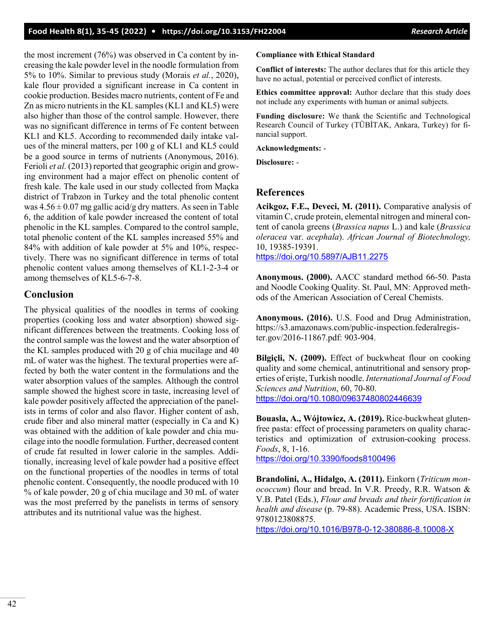the most increment (76%) was observed in Ca content by increasing the kale powder level in the noodle formulation from 5% to 10%. Similar to previous study (Morais *et al.*, 2020), kale flour provided a significant increase in Ca content in cookie production. Besides macro nutrients, content of Fe and Zn as micro nutrients in the KL samples (KL1 and KL5) were also higher than those of the control sample. However, there was no significant difference in terms of Fe content between KL1 and KL5. According to recommended daily intake values of the mineral matters, per 100 g of KL1 and KL5 could be a good source in terms of nutrients (Anonymous, 2016). Ferioli *et al.* (2013) reported that geographic origin and growing environment had a major effect on phenolic content of fresh kale. The kale used in our study collected from Maçka district of Trabzon in Turkey and the total phenolic content was  $4.56 \pm 0.07$  mg gallic acid/g dry matters. As seen in Table 6, the addition of kale powder increased the content of total phenolic in the KL samples. Compared to the control sample, total phenolic content of the KL samples increased 55% and 84% with addition of kale powder at 5% and 10%, respectively. There was no significant difference in terms of total phenolic content values among themselves of KL1-2-3-4 or among themselves of KL5-6-7-8.

### **Conclusion**

The physical qualities of the noodles in terms of cooking properties (cooking loss and water absorption) showed significant differences between the treatments. Cooking loss of the control sample was the lowest and the water absorption of the KL samples produced with 20 g of chia mucilage and 40 mL of water was the highest. The textural properties were affected by both the water content in the formulations and the water absorption values of the samples. Although the control sample showed the highest score in taste, increasing level of kale powder positively affected the appreciation of the panelists in terms of color and also flavor. Higher content of ash, crude fiber and also mineral matter (especially in Ca and K) was obtained with the addition of kale powder and chia mucilage into the noodle formulation. Further, decreased content of crude fat resulted in lower calorie in the samples. Additionally, increasing level of kale powder had a positive effect on the functional properties of the noodles in terms of total phenolic content. Consequently, the noodle produced with 10 % of kale powder, 20 g of chia mucilage and 30 mL of water was the most preferred by the panelists in terms of sensory attributes and its nutritional value was the highest.

#### **Compliance with Ethical Standard**

**Conflict of interests:** The author declares that for this article they have no actual, potential or perceived conflict of interests.

**Ethics committee approval:** Author declare that this study does not include any experiments with human or animal subjects.

**Funding disclosure:** We thank the Scientific and Technological Research Council of Turkey (TÜBİTAK, Ankara, Turkey) for financial support.

**Acknowledgments:** -

**Disclosure:** -

#### **References**

**Acikgoz, F.E., Deveci, M. (2011).** Comparative analysis of vitamin C, crude protein, elemental nitrogen and mineral content of canola greens (*Brassica napus* L.) and kale (*Brassica oleracea* var. *acephala*). *African Journal of Biotechnology,* 10, 19385-19391. <https://doi.org/10.5897/AJB11.2275>

**Anonymous. (2000).** AACC standard method 66-50. Pasta and Noodle Cooking Quality. St. Paul, MN: Approved methods of the American Association of Cereal Chemists.

**Anonymous. (2016).** U.S. Food and Drug Administration, https://s3.amazonaws.com/public-inspection.federalregister.gov/2016-11867.pdf: 903-904.

**Bilgiçli, N. (2009).** Effect of buckwheat flour on cooking quality and some chemical, antinutritional and sensory properties of erişte, Turkish noodle. *International Journal of Food Sciences and Nutrition*, 60, 70-80. <https://doi.org/10.1080/09637480802446639>

**Bouasla, A., Wójtowicz, A. (2019).** Rice-buckwheat glutenfree pasta: effect of processing parameters on quality characteristics and optimization of extrusion-cooking process. *Foods*, 8, 1-16.

<https://doi.org/10.3390/foods8100496>

**Brandolini, A., Hidalgo, A. (2011).** Einkorn (*Triticum monococcum*) flour and bread. In V.R. Preedy, R.R. Watson & V.B. Patel (Eds.), *Flour and breads and their fortification in health and disease* (p. 79-88). Academic Press, USA. ISBN: 9780123808875.

<https://doi.org/10.1016/B978-0-12-380886-8.10008-X>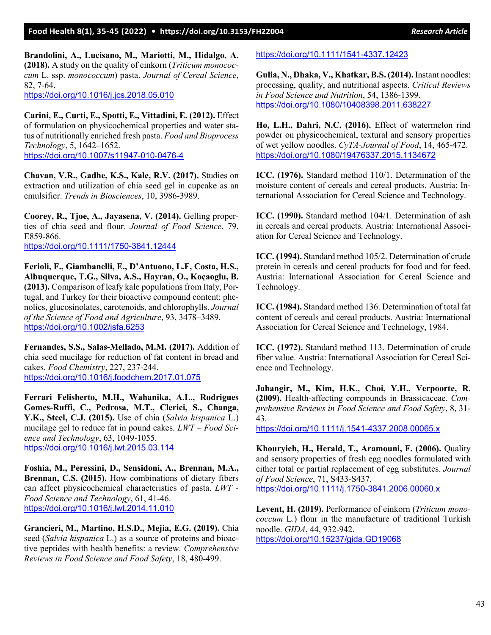**Brandolini, A., Lucisano, M., Mariotti, M., Hidalgo, A. (2018).** A study on the quality of einkorn (*Triticum monococcum* L. ssp. *monococcum*) pasta. *Journal of Cereal Science*, 82, 7-64. <https://doi.org/10.1016/j.jcs.2018.05.010>

**Carini, E., Curti, E., Spotti, E., Vittadini, E. (2012).** Effect of formulation on physicochemical properties and water status of nutritionally enriched fresh pasta. *Food and Bioprocess Technology*, 5, 1642–1652. <https://doi.org/10.1007/s11947-010-0476-4>

**Chavan, V.R., Gadhe, K.S., Kale, R.V. (2017).** Studies on extraction and utilization of chia seed gel in cupcake as an emulsifier. *Trends in Biosciences*, 10, 3986-3989.

**Coorey, R., Tjoe, A., Jayasena, V. (2014).** Gelling properties of chia seed and flour. *Journal of Food Science*, 79, E859-866.

<https://doi.org/10.1111/1750-3841.12444>

**Ferioli, F., Giambanelli, E., D'Antuono, L.F, Costa, H.S., Albuquerque, T.G., Silva, A.S., Hayran, O., Koçaoglu, B. (2013).** Comparison of leafy kale populations from Italy, Portugal, and Turkey for their bioactive compound content: phenolics, glucosinolates, carotenoids, and chlorophylls. *Journal of the Science of Food and Agriculture*, 93, 3478–3489. <https://doi.org/10.1002/jsfa.6253>

**Fernandes, S.S., Salas-Mellado, M.M. (2017).** Addition of chia seed mucilage for reduction of fat content in bread and cakes. *Food Chemistry*, 227, 237-244. <https://doi.org/10.1016/j.foodchem.2017.01.075>

**Ferrari Felisberto, M.H., Wahanika, A.L., Rodrigues Gomes-Ruffi, C., Pedrosa, M.T., Clerici, S., Changa, Y.K., Steel, C.J. (2015).** Use of chia (*Salvia hispanica* L.) mucilage gel to reduce fat in pound cakes. *LWT – Food Science and Technology*, 63, 1049-1055. <https://doi.org/10.1016/j.lwt.2015.03.114>

**Foshia, M., Peressini, D., Sensidoni, A., Brennan, M.A., Brennan, C.S. (2015).** How combinations of dietary fibers can affect physicochemical characteristics of pasta. *LWT - Food Science and Technology*, 61, 41-46. <https://doi.org/10.1016/j.lwt.2014.11.010>

**Grancieri, M., Martino, H.S.D., Mejia, E.G. (2019).** Chia seed (*Salvia hispanica* L.) as a source of proteins and bioactive peptides with health benefits: a review. *Comprehensive Reviews in Food Science and Food Safety*, 18, 480-499.

<https://doi.org/10.1111/1541-4337.12423>

**Gulia, N., Dhaka, V., Khatkar, B.S. (2014).** Instant noodles: processing, quality, and nutritional aspects. *Critical Reviews in Food Science and Nutrition*, 54, 1386-1399. <https://doi.org/10.1080/10408398.2011.638227>

**Ho, L.H., Dahri, N.C. (2016).** Effect of watermelon rind powder on physicochemical, textural and sensory properties of wet yellow noodles. *CyTA-Journal of Food*, 14, 465-472. <https://doi.org/10.1080/19476337.2015.1134672>

**ICC. (1976).** Standard method 110/1. Determination of the moisture content of cereals and cereal products. Austria: International Association for Cereal Science and Technology.

**ICC. (1990).** Standard method 104/1. Determination of ash in cereals and cereal products. Austria: International Association for Cereal Science and Technology.

**ICC. (1994).** Standard method 105/2. Determination of crude protein in cereals and cereal products for food and for feed. Austria: International Association for Cereal Science and Technology.

**ICC. (1984).** Standard method 136. Determination of total fat content of cereals and cereal products. Austria: International Association for Cereal Science and Technology, 1984.

**ICC. (1972).** Standard method 113. Determination of crude fiber value. Austria: International Association for Cereal Science and Technology.

**Jahangir, M., Kim, H.K., Choi, Y.H., Verpoorte, R. (2009).** Health-affecting compounds in Brassicaceae. *Comprehensive Reviews in Food Science and Food Safety*, 8, 31- 43.

<https://doi.org/10.1111/j.1541-4337.2008.00065.x>

**Khouryieh, H., Herald, T., Aramouni, F. (2006).** Quality and sensory properties of fresh egg noodles formulated with either total or partial replacement of egg substitutes. *Journal of Food Science*, 71, S433-S437. <https://doi.org/10.1111/j.1750-3841.2006.00060.x>

**Levent, H. (2019).** Performance of einkorn (*Triticum monococcum* L.) flour in the manufacture of traditional Turkish noodle. *GIDA*, 44, 932-942. <https://doi.org/10.15237/gida.GD19068>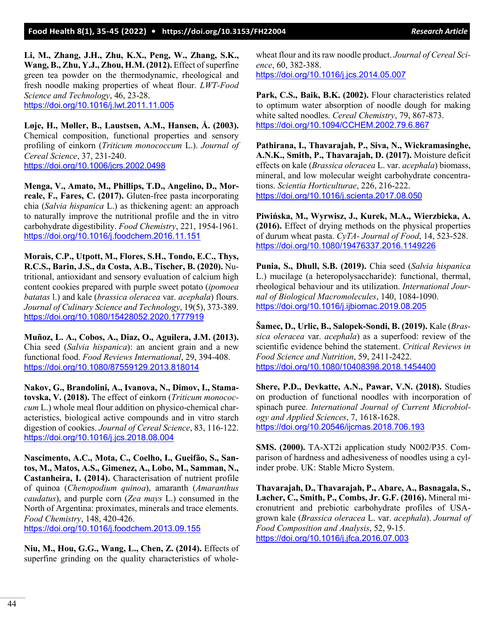## **Food Health 8(1), 35-45 (2022) • <https://doi.org/10.3153/FH22004>** *Research Article*

**Li, M., Zhang, J.H., Zhu, K.X., Peng, W., Zhang, S.K., Wang, B., Zhu, Y.J., Zhou, H.M. (2012).** Effect of superfine green tea powder on the thermodynamic, rheological and fresh noodle making properties of wheat flour. *LWT-Food Science and Technology*, 46, 23-28. <https://doi.org/10.1016/j.lwt.2011.11.005>

**Løje, H., Møller, B., Laustsen, A.M., Hansen, Å. (2003).** Chemical composition, functional properties and sensory profiling of einkorn (*Triticum monococcum* L.). *Journal of Cereal Science*, 37, 231-240. <https://doi.org/10.1006/jcrs.2002.0498>

**Menga, V., Amato, M., Phillips, T.D., Angelino, D., Morreale, F., Fares, C. (2017).** Gluten-free pasta incorporating chia (*Salvia hispanica* L.) as thickening agent: an approach to naturally improve the nutritional profile and the in vitro carbohydrate digestibility. *Food Chemistry*, 221, 1954-1961. <https://doi.org/10.1016/j.foodchem.2016.11.151>

**Morais, C.P., Utpott, M., Flores, S.H., Tondo, E.C., Thys, R.C.S., Barin, J.S., da Costa, A.B., Tischer, B. (2020).** Nutritional, antioxidant and sensory evaluation of calcium high content cookies prepared with purple sweet potato (*ipomoea batatas* l.) and kale (*brassica oleracea* var. *acephala*) flours. *Journal of Culinary Science and Technology*, 19(5), 373-389. <https://doi.org/10.1080/15428052.2020.1777919>

**Muñoz, L. A., Cobos, A., Diaz, O., Aguilera, J.M. (2013).** Chia seed (*Salvia hispanica*): an ancient grain and a new functional food. *Food Reviews International*, 29, 394-408. <https://doi.org/10.1080/87559129.2013.818014>

**Nakov, G., Brandolini, A., Ivanova, N., Dimov, I., Stamatovska, V. (2018).** The effect of einkorn (*Triticum monococcum* L.) whole meal flour addition on physico-chemical characteristics, biological active compounds and in vitro starch digestion of cookies. *Journal of Cereal Science*, 83, 116-122. <https://doi.org/10.1016/j.jcs.2018.08.004>

**Nascimento, A.C., Mota, C., Coelho, I., Gueifão, S., Santos, M., Matos, A.S., Gimenez, A., Lobo, M., Samman, N., Castanheira, I. (2014).** Characterisation of nutrient profile of quinoa (*Chenopodium quinoa*), amaranth (*Amaranthus caudatus*), and purple corn (*Zea mays* L.) consumed in the North of Argentina: proximates, minerals and trace elements. *Food Chemistry*, 148, 420-426. <https://doi.org/10.1016/j.foodchem.2013.09.155>

**Niu, M., Hou, G.G., Wang, L., Chen, Z. (2014).** Effects of superfine grinding on the quality characteristics of wholewheat flour and its raw noodle product. *Journal of Cereal Science*, 60, 382-388. <https://doi.org/10.1016/j.jcs.2014.05.007>

**Park, C.S., Baik, B.K. (2002).** Flour characteristics related to optimum water absorption of noodle dough for making white salted noodles. *Cereal Chemistry*, 79, 867-873. <https://doi.org/10.1094/CCHEM.2002.79.6.867>

**Pathirana, I., Thavarajah, P., Siva, N., Wickramasinghe, A.N.K., Smith, P., Thavarajah, D. (2017).** Moisture deficit effects on kale (*Brassica oleracea* L. var. *acephala*) biomass, mineral, and low molecular weight carbohydrate concentrations. *Scientia Horticulturae*, 226, 216-222. <https://doi.org/10.1016/j.scienta.2017.08.050>

**Piwińska, M., Wyrwisz, J., Kurek, M.A., Wierzbicka, A. (2016).** Effect of drying methods on the physical properties of durum wheat pasta. *CyTA- Journal of Food*, 14, 523-528. <https://doi.org/10.1080/19476337.2016.1149226>

**Punia, S., Dhull, S.B. (2019).** Chia seed (*Salvia hispanica* L.) mucilage (a heteropolysaccharide): functional, thermal, rheological behaviour and its utilization. *International Journal of Biological Macromolecules*, 140, 1084-1090. <https://doi.org/10.1016/j.ijbiomac.2019.08.205>

**Šamec, D., Urlic, B., Salopek-Sondi, B. (2019).** Kale (*Brassica oleracea* var. *acephala*) as a superfood: review of the scientific evidence behind the statement. *Critical Reviews in Food Science and Nutrition*, 59, 2411-2422. <https://doi.org/10.1080/10408398.2018.1454400>

**Shere, P.D., Devkatte, A.N., Pawar, V.N. (2018).** Studies on production of functional noodles with incorporation of spinach puree. *International Journal of Current Microbiology and Applied Sciences*, 7, 1618-1628. <https://doi.org/10.20546/ijcmas.2018.706.193>

**SMS. (2000).** TA-XT2i application study N002/P35. Comparison of hardness and adhesiveness of noodles using a cylinder probe. UK: Stable Micro System.

**Thavarajah, D., Thavarajah, P., Abare, A., Basnagala, S., Lacher, C., Smith, P., Combs, Jr. G.F. (2016).** Mineral micronutrient and prebiotic carbohydrate profiles of USAgrown kale (*Brassica oleracea* L. var. *acephala*). *Journal of Food Composition and Analysis*, 52, 9-15. <https://doi.org/10.1016/j.jfca.2016.07.003>